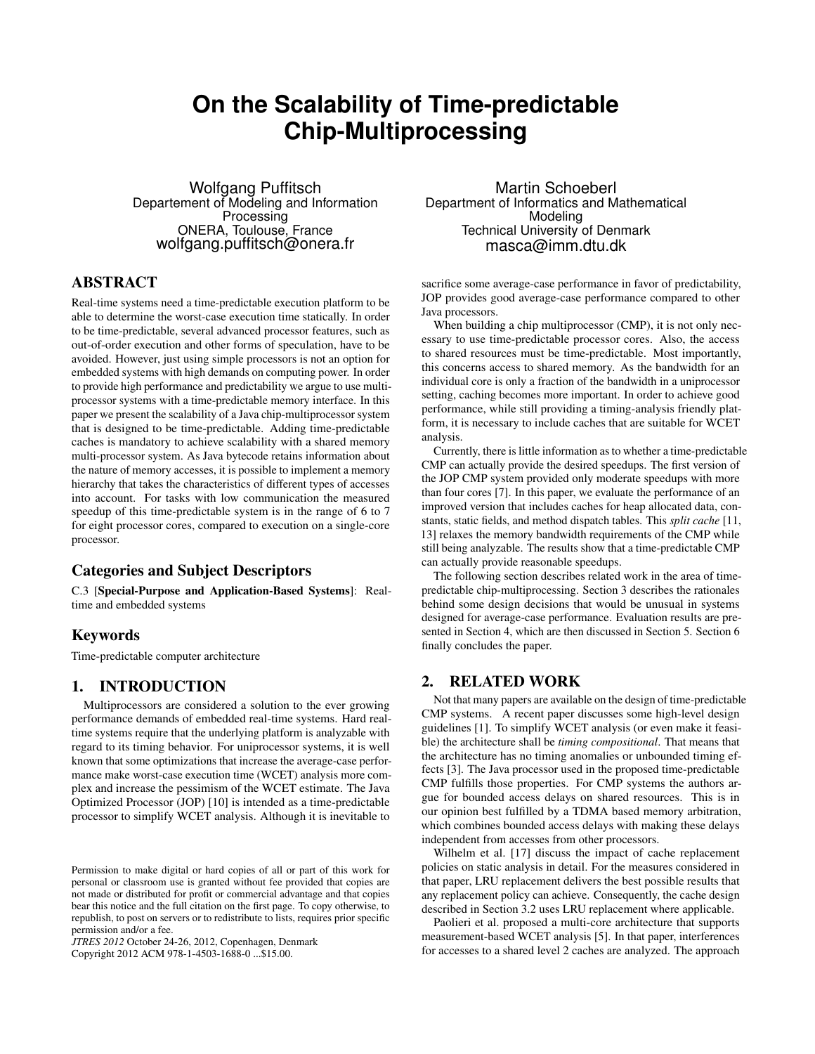# **On the Scalability of Time-predictable Chip-Multiprocessing**

Wolfgang Puffitsch Departement of Modeling and Information Processing ONERA, Toulouse, France wolfgang.puffitsch@onera.fr

## ABSTRACT

Real-time systems need a time-predictable execution platform to be able to determine the worst-case execution time statically. In order to be time-predictable, several advanced processor features, such as out-of-order execution and other forms of speculation, have to be avoided. However, just using simple processors is not an option for embedded systems with high demands on computing power. In order to provide high performance and predictability we argue to use multiprocessor systems with a time-predictable memory interface. In this paper we present the scalability of a Java chip-multiprocessor system that is designed to be time-predictable. Adding time-predictable caches is mandatory to achieve scalability with a shared memory multi-processor system. As Java bytecode retains information about the nature of memory accesses, it is possible to implement a memory hierarchy that takes the characteristics of different types of accesses into account. For tasks with low communication the measured speedup of this time-predictable system is in the range of 6 to 7 for eight processor cores, compared to execution on a single-core processor.

# Categories and Subject Descriptors

C.3 [Special-Purpose and Application-Based Systems]: Realtime and embedded systems

## Keywords

Time-predictable computer architecture

#### 1. INTRODUCTION

Multiprocessors are considered a solution to the ever growing performance demands of embedded real-time systems. Hard realtime systems require that the underlying platform is analyzable with regard to its timing behavior. For uniprocessor systems, it is well known that some optimizations that increase the average-case performance make worst-case execution time (WCET) analysis more complex and increase the pessimism of the WCET estimate. The Java Optimized Processor (JOP) [10] is intended as a time-predictable processor to simplify WCET analysis. Although it is inevitable to

*JTRES 2012* October 24-26, 2012, Copenhagen, Denmark Copyright 2012 ACM 978-1-4503-1688-0 ...\$15.00.

Martin Schoeberl Department of Informatics and Mathematical Modeling Technical University of Denmark masca@imm.dtu.dk

sacrifice some average-case performance in favor of predictability, JOP provides good average-case performance compared to other Java processors.

When building a chip multiprocessor (CMP), it is not only necessary to use time-predictable processor cores. Also, the access to shared resources must be time-predictable. Most importantly, this concerns access to shared memory. As the bandwidth for an individual core is only a fraction of the bandwidth in a uniprocessor setting, caching becomes more important. In order to achieve good performance, while still providing a timing-analysis friendly platform, it is necessary to include caches that are suitable for WCET analysis.

Currently, there is little information as to whether a time-predictable CMP can actually provide the desired speedups. The first version of the JOP CMP system provided only moderate speedups with more than four cores [7]. In this paper, we evaluate the performance of an improved version that includes caches for heap allocated data, constants, static fields, and method dispatch tables. This *split cache* [11, 13] relaxes the memory bandwidth requirements of the CMP while still being analyzable. The results show that a time-predictable CMP can actually provide reasonable speedups.

The following section describes related work in the area of timepredictable chip-multiprocessing. Section 3 describes the rationales behind some design decisions that would be unusual in systems designed for average-case performance. Evaluation results are presented in Section 4, which are then discussed in Section 5. Section 6 finally concludes the paper.

# 2. RELATED WORK

Not that many papers are available on the design of time-predictable CMP systems. A recent paper discusses some high-level design guidelines [1]. To simplify WCET analysis (or even make it feasible) the architecture shall be *timing compositional*. That means that the architecture has no timing anomalies or unbounded timing effects [3]. The Java processor used in the proposed time-predictable CMP fulfills those properties. For CMP systems the authors argue for bounded access delays on shared resources. This is in our opinion best fulfilled by a TDMA based memory arbitration, which combines bounded access delays with making these delays independent from accesses from other processors.

Wilhelm et al. [17] discuss the impact of cache replacement policies on static analysis in detail. For the measures considered in that paper, LRU replacement delivers the best possible results that any replacement policy can achieve. Consequently, the cache design described in Section 3.2 uses LRU replacement where applicable.

Paolieri et al. proposed a multi-core architecture that supports measurement-based WCET analysis [5]. In that paper, interferences for accesses to a shared level 2 caches are analyzed. The approach

Permission to make digital or hard copies of all or part of this work for personal or classroom use is granted without fee provided that copies are not made or distributed for profit or commercial advantage and that copies bear this notice and the full citation on the first page. To copy otherwise, to republish, to post on servers or to redistribute to lists, requires prior specific permission and/or a fee.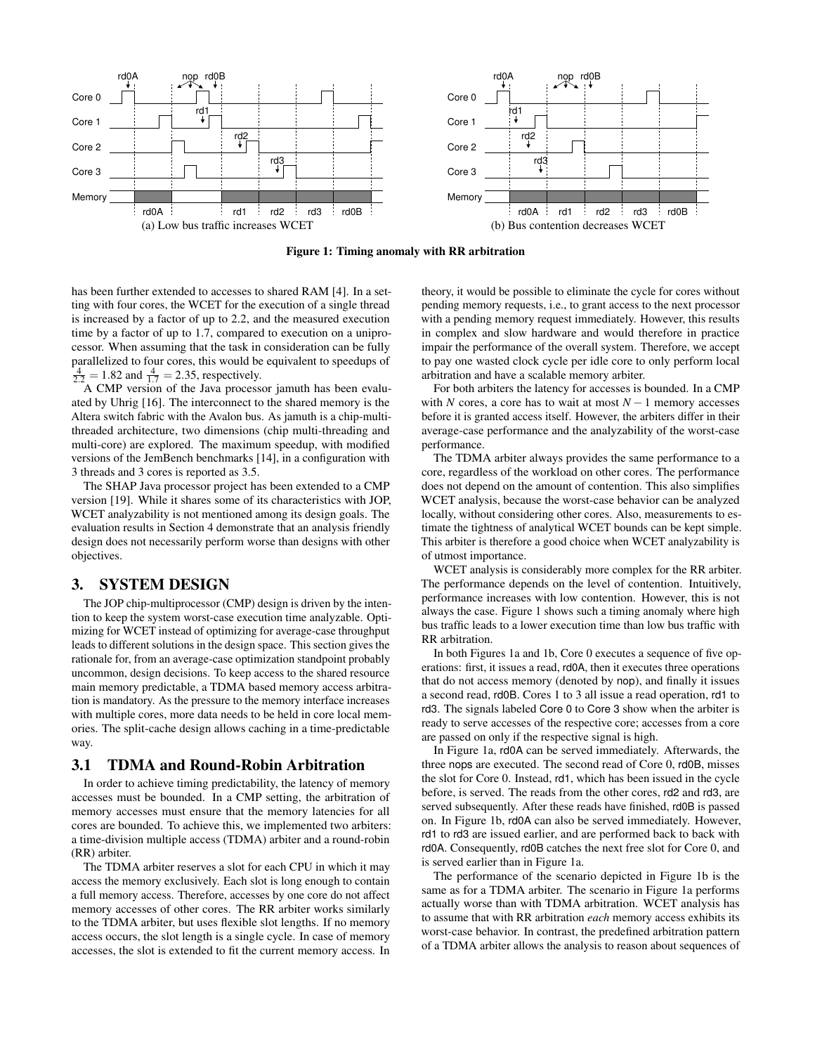

Figure 1: Timing anomaly with RR arbitration

has been further extended to accesses to shared RAM [4]. In a setting with four cores, the WCET for the execution of a single thread is increased by a factor of up to 2.2, and the measured execution time by a factor of up to 1.7, compared to execution on a uniprocessor. When assuming that the task in consideration can be fully parallelized to four cores, this would be equivalent to speedups of  $\frac{4}{2.2}$  = 1.82 and  $\frac{4}{1.7}$  = 2.35, respectively.

A CMP version of the Java processor jamuth has been evaluated by Uhrig [16]. The interconnect to the shared memory is the Altera switch fabric with the Avalon bus. As jamuth is a chip-multithreaded architecture, two dimensions (chip multi-threading and multi-core) are explored. The maximum speedup, with modified versions of the JemBench benchmarks [14], in a configuration with 3 threads and 3 cores is reported as 3.5.

The SHAP Java processor project has been extended to a CMP version [19]. While it shares some of its characteristics with JOP, WCET analyzability is not mentioned among its design goals. The evaluation results in Section 4 demonstrate that an analysis friendly design does not necessarily perform worse than designs with other objectives.

## 3. SYSTEM DESIGN

The JOP chip-multiprocessor (CMP) design is driven by the intention to keep the system worst-case execution time analyzable. Optimizing for WCET instead of optimizing for average-case throughput leads to different solutions in the design space. This section gives the rationale for, from an average-case optimization standpoint probably uncommon, design decisions. To keep access to the shared resource main memory predictable, a TDMA based memory access arbitration is mandatory. As the pressure to the memory interface increases with multiple cores, more data needs to be held in core local memories. The split-cache design allows caching in a time-predictable way.

#### 3.1 TDMA and Round-Robin Arbitration

In order to achieve timing predictability, the latency of memory accesses must be bounded. In a CMP setting, the arbitration of memory accesses must ensure that the memory latencies for all cores are bounded. To achieve this, we implemented two arbiters: a time-division multiple access (TDMA) arbiter and a round-robin (RR) arbiter.

The TDMA arbiter reserves a slot for each CPU in which it may access the memory exclusively. Each slot is long enough to contain a full memory access. Therefore, accesses by one core do not affect memory accesses of other cores. The RR arbiter works similarly to the TDMA arbiter, but uses flexible slot lengths. If no memory access occurs, the slot length is a single cycle. In case of memory accesses, the slot is extended to fit the current memory access. In theory, it would be possible to eliminate the cycle for cores without pending memory requests, i.e., to grant access to the next processor with a pending memory request immediately. However, this results in complex and slow hardware and would therefore in practice impair the performance of the overall system. Therefore, we accept to pay one wasted clock cycle per idle core to only perform local arbitration and have a scalable memory arbiter.

For both arbiters the latency for accesses is bounded. In a CMP with *N* cores, a core has to wait at most  $N-1$  memory accesses before it is granted access itself. However, the arbiters differ in their average-case performance and the analyzability of the worst-case performance.

The TDMA arbiter always provides the same performance to a core, regardless of the workload on other cores. The performance does not depend on the amount of contention. This also simplifies WCET analysis, because the worst-case behavior can be analyzed locally, without considering other cores. Also, measurements to estimate the tightness of analytical WCET bounds can be kept simple. This arbiter is therefore a good choice when WCET analyzability is of utmost importance.

WCET analysis is considerably more complex for the RR arbiter. The performance depends on the level of contention. Intuitively, performance increases with low contention. However, this is not always the case. Figure 1 shows such a timing anomaly where high bus traffic leads to a lower execution time than low bus traffic with RR arbitration.

In both Figures 1a and 1b, Core 0 executes a sequence of five operations: first, it issues a read, rd0A, then it executes three operations that do not access memory (denoted by nop), and finally it issues a second read, rd0B. Cores 1 to 3 all issue a read operation, rd1 to rd3. The signals labeled Core 0 to Core 3 show when the arbiter is ready to serve accesses of the respective core; accesses from a core are passed on only if the respective signal is high.

In Figure 1a, rd0A can be served immediately. Afterwards, the three nops are executed. The second read of Core 0, rd0B, misses the slot for Core 0. Instead, rd1, which has been issued in the cycle before, is served. The reads from the other cores, rd2 and rd3, are served subsequently. After these reads have finished, rd0B is passed on. In Figure 1b, rd0A can also be served immediately. However, rd1 to rd3 are issued earlier, and are performed back to back with rd0A. Consequently, rd0B catches the next free slot for Core 0, and is served earlier than in Figure 1a.

The performance of the scenario depicted in Figure 1b is the same as for a TDMA arbiter. The scenario in Figure 1a performs actually worse than with TDMA arbitration. WCET analysis has to assume that with RR arbitration *each* memory access exhibits its worst-case behavior. In contrast, the predefined arbitration pattern of a TDMA arbiter allows the analysis to reason about sequences of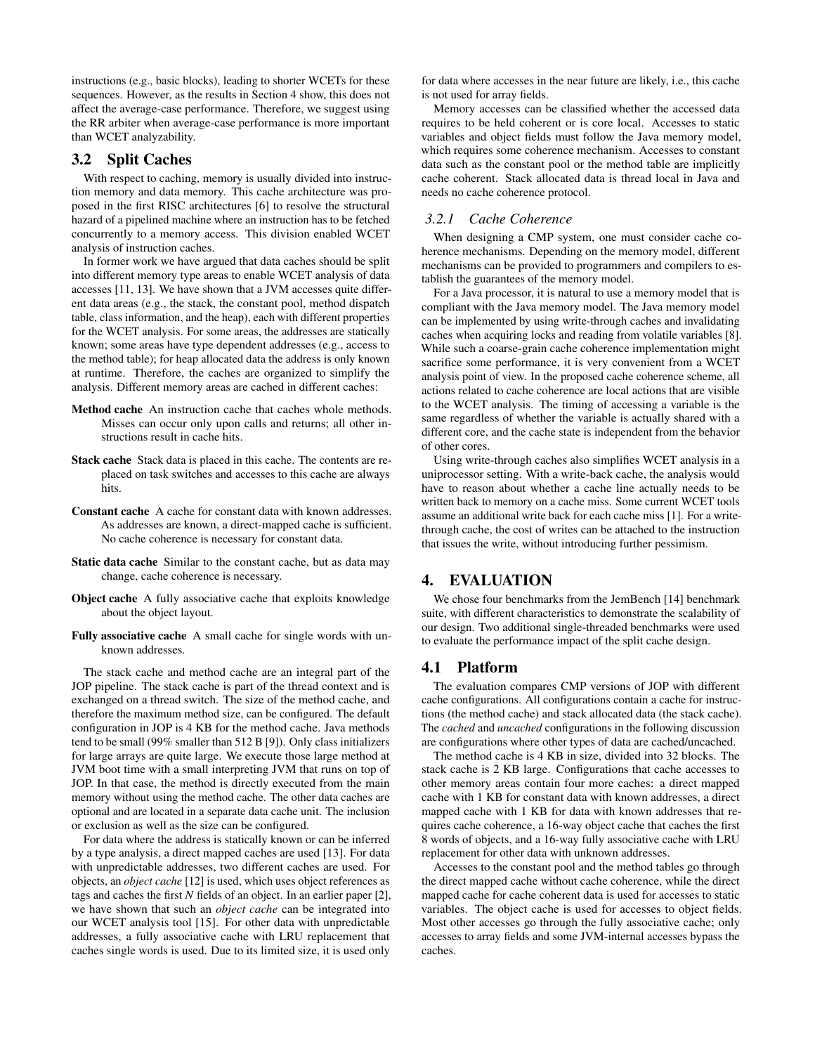instructions (e.g., basic blocks), leading to shorter WCETs for these sequences. However, as the results in Section 4 show, this does not affect the average-case performance. Therefore, we suggest using the RR arbiter when average-case performance is more important than WCET analyzability.

## 3.2 Split Caches

With respect to caching, memory is usually divided into instruction memory and data memory. This cache architecture was proposed in the first RISC architectures [6] to resolve the structural hazard of a pipelined machine where an instruction has to be fetched concurrently to a memory access. This division enabled WCET analysis of instruction caches.

In former work we have argued that data caches should be split into different memory type areas to enable WCET analysis of data accesses [11, 13]. We have shown that a JVM accesses quite different data areas (e.g., the stack, the constant pool, method dispatch table, class information, and the heap), each with different properties for the WCET analysis. For some areas, the addresses are statically known; some areas have type dependent addresses (e.g., access to the method table); for heap allocated data the address is only known at runtime. Therefore, the caches are organized to simplify the analysis. Different memory areas are cached in different caches:

- Method cache An instruction cache that caches whole methods. Misses can occur only upon calls and returns; all other instructions result in cache hits.
- Stack cache Stack data is placed in this cache. The contents are replaced on task switches and accesses to this cache are always hits.
- Constant cache A cache for constant data with known addresses. As addresses are known, a direct-mapped cache is sufficient. No cache coherence is necessary for constant data.
- Static data cache Similar to the constant cache, but as data may change, cache coherence is necessary.
- Object cache A fully associative cache that exploits knowledge about the object layout.
- Fully associative cache A small cache for single words with unknown addresses.

The stack cache and method cache are an integral part of the JOP pipeline. The stack cache is part of the thread context and is exchanged on a thread switch. The size of the method cache, and therefore the maximum method size, can be configured. The default configuration in JOP is 4 KB for the method cache. Java methods tend to be small (99% smaller than 512 B [9]). Only class initializers for large arrays are quite large. We execute those large method at JVM boot time with a small interpreting JVM that runs on top of JOP. In that case, the method is directly executed from the main memory without using the method cache. The other data caches are optional and are located in a separate data cache unit. The inclusion or exclusion as well as the size can be configured.

For data where the address is statically known or can be inferred by a type analysis, a direct mapped caches are used [13]. For data with unpredictable addresses, two different caches are used. For objects, an *object cache* [12] is used, which uses object references as tags and caches the first *N* fields of an object. In an earlier paper [2], we have shown that such an *object cache* can be integrated into our WCET analysis tool [15]. For other data with unpredictable addresses, a fully associative cache with LRU replacement that caches single words is used. Due to its limited size, it is used only for data where accesses in the near future are likely, i.e., this cache is not used for array fields.

Memory accesses can be classified whether the accessed data requires to be held coherent or is core local. Accesses to static variables and object fields must follow the Java memory model, which requires some coherence mechanism. Accesses to constant data such as the constant pool or the method table are implicitly cache coherent. Stack allocated data is thread local in Java and needs no cache coherence protocol.

## *3.2.1 Cache Coherence*

When designing a CMP system, one must consider cache coherence mechanisms. Depending on the memory model, different mechanisms can be provided to programmers and compilers to establish the guarantees of the memory model.

For a Java processor, it is natural to use a memory model that is compliant with the Java memory model. The Java memory model can be implemented by using write-through caches and invalidating caches when acquiring locks and reading from volatile variables [8]. While such a coarse-grain cache coherence implementation might sacrifice some performance, it is very convenient from a WCET analysis point of view. In the proposed cache coherence scheme, all actions related to cache coherence are local actions that are visible to the WCET analysis. The timing of accessing a variable is the same regardless of whether the variable is actually shared with a different core, and the cache state is independent from the behavior of other cores.

Using write-through caches also simplifies WCET analysis in a uniprocessor setting. With a write-back cache, the analysis would have to reason about whether a cache line actually needs to be written back to memory on a cache miss. Some current WCET tools assume an additional write back for each cache miss [1]. For a writethrough cache, the cost of writes can be attached to the instruction that issues the write, without introducing further pessimism.

## 4. EVALUATION

We chose four benchmarks from the JemBench [14] benchmark suite, with different characteristics to demonstrate the scalability of our design. Two additional single-threaded benchmarks were used to evaluate the performance impact of the split cache design.

## 4.1 Platform

The evaluation compares CMP versions of JOP with different cache configurations. All configurations contain a cache for instructions (the method cache) and stack allocated data (the stack cache). The *cached* and *uncached* configurations in the following discussion are configurations where other types of data are cached/uncached.

The method cache is 4 KB in size, divided into 32 blocks. The stack cache is 2 KB large. Configurations that cache accesses to other memory areas contain four more caches: a direct mapped cache with 1 KB for constant data with known addresses, a direct mapped cache with 1 KB for data with known addresses that requires cache coherence, a 16-way object cache that caches the first 8 words of objects, and a 16-way fully associative cache with LRU replacement for other data with unknown addresses.

Accesses to the constant pool and the method tables go through the direct mapped cache without cache coherence, while the direct mapped cache for cache coherent data is used for accesses to static variables. The object cache is used for accesses to object fields. Most other accesses go through the fully associative cache; only accesses to array fields and some JVM-internal accesses bypass the caches.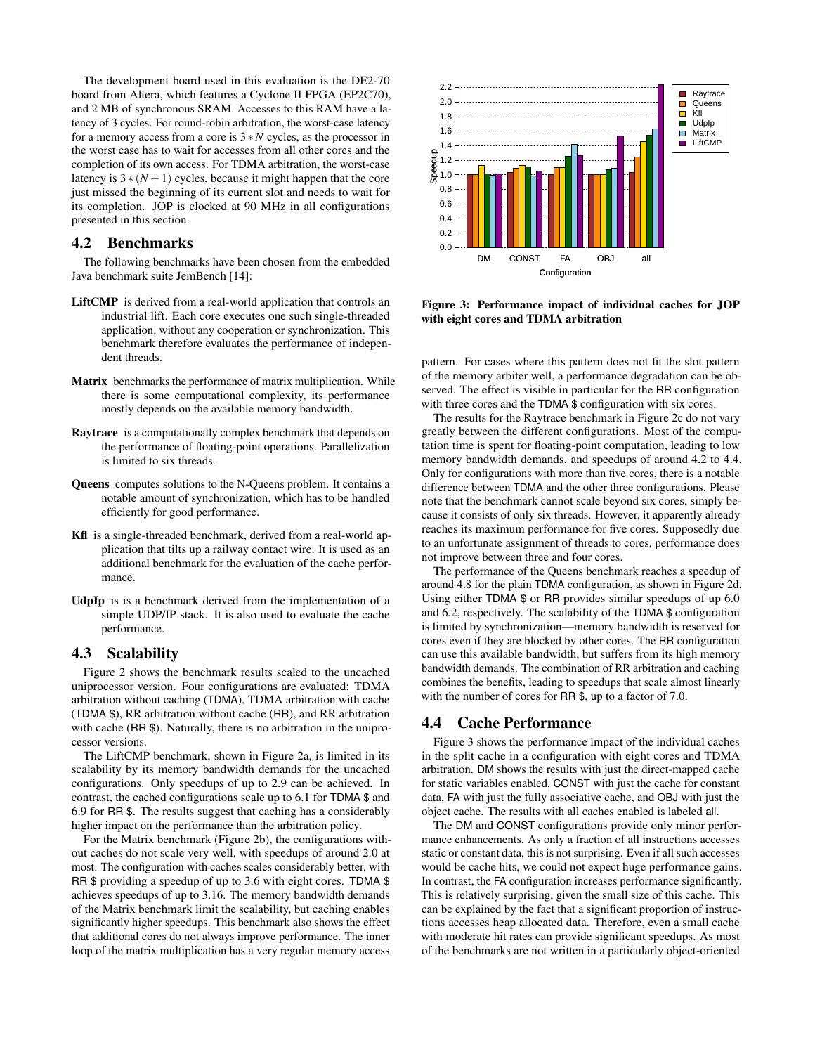The development board used in this evaluation is the DE2-70 board from Altera, which features a Cyclone II FPGA (EP2C70), and 2 MB of synchronous SRAM. Accesses to this RAM have a latency of 3 cycles. For round-robin arbitration, the worst-case latency for a memory access from a core is 3 ∗*N* cycles, as the processor in the worst case has to wait for accesses from all other cores and the completion of its own access. For TDMA arbitration, the worst-case latency is  $3*(N+1)$  cycles, because it might happen that the core just missed the beginning of its current slot and needs to wait for its completion. JOP is clocked at 90 MHz in all configurations presented in this section.

### 4.2 Benchmarks

The following benchmarks have been chosen from the embedded Java benchmark suite JemBench [14]:

- LiftCMP is derived from a real-world application that controls an industrial lift. Each core executes one such single-threaded application, without any cooperation or synchronization. This benchmark therefore evaluates the performance of independent threads.
- Matrix benchmarks the performance of matrix multiplication. While there is some computational complexity, its performance mostly depends on the available memory bandwidth.
- Raytrace is a computationally complex benchmark that depends on the performance of floating-point operations. Parallelization is limited to six threads.
- Queens computes solutions to the N-Queens problem. It contains a notable amount of synchronization, which has to be handled efficiently for good performance.
- Kfl is a single-threaded benchmark, derived from a real-world application that tilts up a railway contact wire. It is used as an additional benchmark for the evaluation of the cache performance.
- UdpIp is is a benchmark derived from the implementation of a simple UDP/IP stack. It is also used to evaluate the cache performance.

#### 4.3 Scalability

Figure 2 shows the benchmark results scaled to the uncached uniprocessor version. Four configurations are evaluated: TDMA arbitration without caching (TDMA), TDMA arbitration with cache (TDMA \$), RR arbitration without cache (RR), and RR arbitration with cache (RR \$). Naturally, there is no arbitration in the uniprocessor versions.

The LiftCMP benchmark, shown in Figure 2a, is limited in its scalability by its memory bandwidth demands for the uncached configurations. Only speedups of up to 2.9 can be achieved. In contrast, the cached configurations scale up to 6.1 for TDMA \$ and 6.9 for RR \$. The results suggest that caching has a considerably higher impact on the performance than the arbitration policy.

For the Matrix benchmark (Figure 2b), the configurations without caches do not scale very well, with speedups of around 2.0 at most. The configuration with caches scales considerably better, with RR \$ providing a speedup of up to 3.6 with eight cores. TDMA \$ achieves speedups of up to 3.16. The memory bandwidth demands of the Matrix benchmark limit the scalability, but caching enables significantly higher speedups. This benchmark also shows the effect that additional cores do not always improve performance. The inner loop of the matrix multiplication has a very regular memory access



Figure 3: Performance impact of individual caches for JOP with eight cores and TDMA arbitration

pattern. For cases where this pattern does not fit the slot pattern of the memory arbiter well, a performance degradation can be observed. The effect is visible in particular for the RR configuration with three cores and the TDMA \$ configuration with six cores.

The results for the Raytrace benchmark in Figure 2c do not vary greatly between the different configurations. Most of the computation time is spent for floating-point computation, leading to low memory bandwidth demands, and speedups of around 4.2 to 4.4. Only for configurations with more than five cores, there is a notable difference between TDMA and the other three configurations. Please note that the benchmark cannot scale beyond six cores, simply because it consists of only six threads. However, it apparently already reaches its maximum performance for five cores. Supposedly due to an unfortunate assignment of threads to cores, performance does not improve between three and four cores.

The performance of the Queens benchmark reaches a speedup of around 4.8 for the plain TDMA configuration, as shown in Figure 2d. Using either TDMA \$ or RR provides similar speedups of up 6.0 and 6.2, respectively. The scalability of the TDMA \$ configuration is limited by synchronization—memory bandwidth is reserved for cores even if they are blocked by other cores. The RR configuration can use this available bandwidth, but suffers from its high memory bandwidth demands. The combination of RR arbitration and caching combines the benefits, leading to speedups that scale almost linearly with the number of cores for RR  $\frac{1}{2}$ , up to a factor of 7.0.

### 4.4 Cache Performance

Figure 3 shows the performance impact of the individual caches in the split cache in a configuration with eight cores and TDMA arbitration. DM shows the results with just the direct-mapped cache for static variables enabled, CONST with just the cache for constant data, FA with just the fully associative cache, and OBJ with just the object cache. The results with all caches enabled is labeled all.

The DM and CONST configurations provide only minor performance enhancements. As only a fraction of all instructions accesses static or constant data, this is not surprising. Even if all such accesses would be cache hits, we could not expect huge performance gains. In contrast, the FA configuration increases performance significantly. This is relatively surprising, given the small size of this cache. This can be explained by the fact that a significant proportion of instructions accesses heap allocated data. Therefore, even a small cache with moderate hit rates can provide significant speedups. As most of the benchmarks are not written in a particularly object-oriented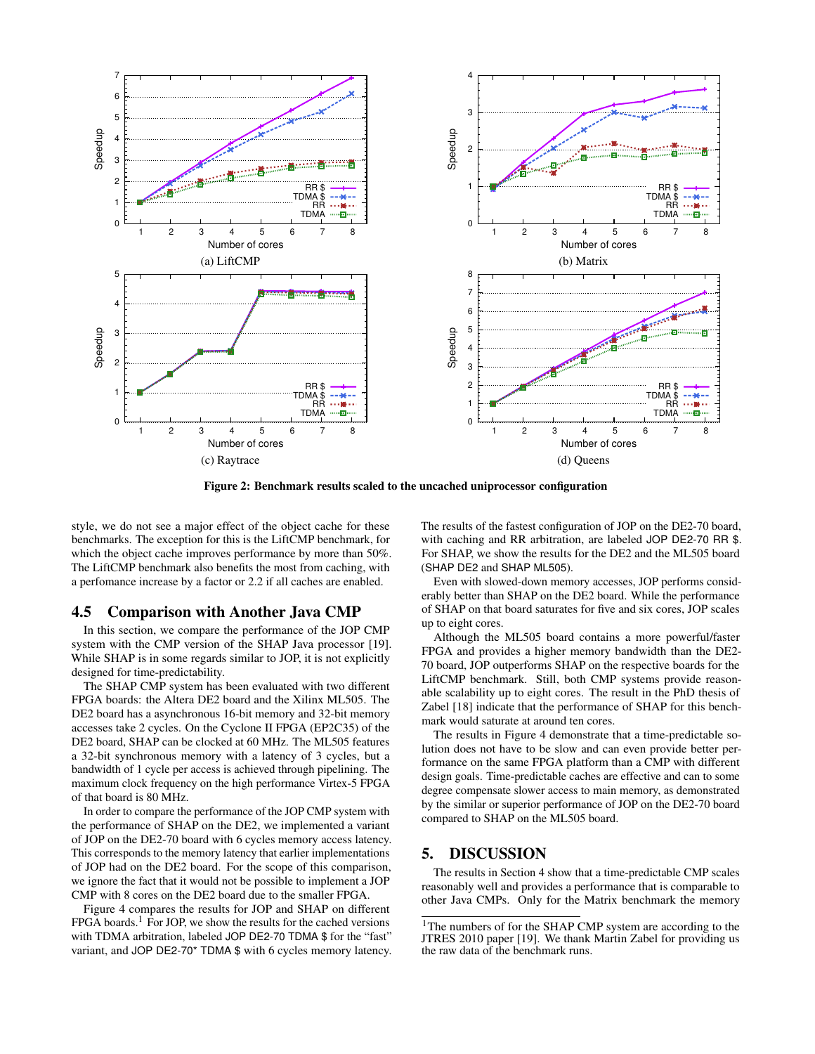

Figure 2: Benchmark results scaled to the uncached uniprocessor configuration

style, we do not see a major effect of the object cache for these benchmarks. The exception for this is the LiftCMP benchmark, for which the object cache improves performance by more than 50%. The LiftCMP benchmark also benefits the most from caching, with a perfomance increase by a factor or 2.2 if all caches are enabled.

#### 4.5 Comparison with Another Java CMP

In this section, we compare the performance of the JOP CMP system with the CMP version of the SHAP Java processor [19]. While SHAP is in some regards similar to JOP, it is not explicitly designed for time-predictability.

The SHAP CMP system has been evaluated with two different FPGA boards: the Altera DE2 board and the Xilinx ML505. The DE2 board has a asynchronous 16-bit memory and 32-bit memory accesses take 2 cycles. On the Cyclone II FPGA (EP2C35) of the DE2 board, SHAP can be clocked at 60 MHz. The ML505 features a 32-bit synchronous memory with a latency of 3 cycles, but a bandwidth of 1 cycle per access is achieved through pipelining. The maximum clock frequency on the high performance Virtex-5 FPGA of that board is 80 MHz.

In order to compare the performance of the JOP CMP system with the performance of SHAP on the DE2, we implemented a variant of JOP on the DE2-70 board with 6 cycles memory access latency. This corresponds to the memory latency that earlier implementations of JOP had on the DE2 board. For the scope of this comparison, we ignore the fact that it would not be possible to implement a JOP CMP with 8 cores on the DE2 board due to the smaller FPGA.

Figure 4 compares the results for JOP and SHAP on different FPGA boards.<sup>1</sup> For JOP, we show the results for the cached versions with TDMA arbitration, labeled JOP DE2-70 TDMA \$ for the "fast" variant, and JOP DE2-70\* TDMA \$ with 6 cycles memory latency. The results of the fastest configuration of JOP on the DE2-70 board, with caching and RR arbitration, are labeled JOP DE2-70 RR \$. For SHAP, we show the results for the DE2 and the ML505 board (SHAP DE2 and SHAP ML505).

Even with slowed-down memory accesses, JOP performs considerably better than SHAP on the DE2 board. While the performance of SHAP on that board saturates for five and six cores, JOP scales up to eight cores.

Although the ML505 board contains a more powerful/faster FPGA and provides a higher memory bandwidth than the DE2- 70 board, JOP outperforms SHAP on the respective boards for the LiftCMP benchmark. Still, both CMP systems provide reasonable scalability up to eight cores. The result in the PhD thesis of Zabel [18] indicate that the performance of SHAP for this benchmark would saturate at around ten cores.

The results in Figure 4 demonstrate that a time-predictable solution does not have to be slow and can even provide better performance on the same FPGA platform than a CMP with different design goals. Time-predictable caches are effective and can to some degree compensate slower access to main memory, as demonstrated by the similar or superior performance of JOP on the DE2-70 board compared to SHAP on the ML505 board.

## 5. DISCUSSION

The results in Section 4 show that a time-predictable CMP scales reasonably well and provides a performance that is comparable to other Java CMPs. Only for the Matrix benchmark the memory

<sup>&</sup>lt;sup>1</sup>The numbers of for the SHAP CMP system are according to the JTRES 2010 paper [19]. We thank Martin Zabel for providing us the raw data of the benchmark runs.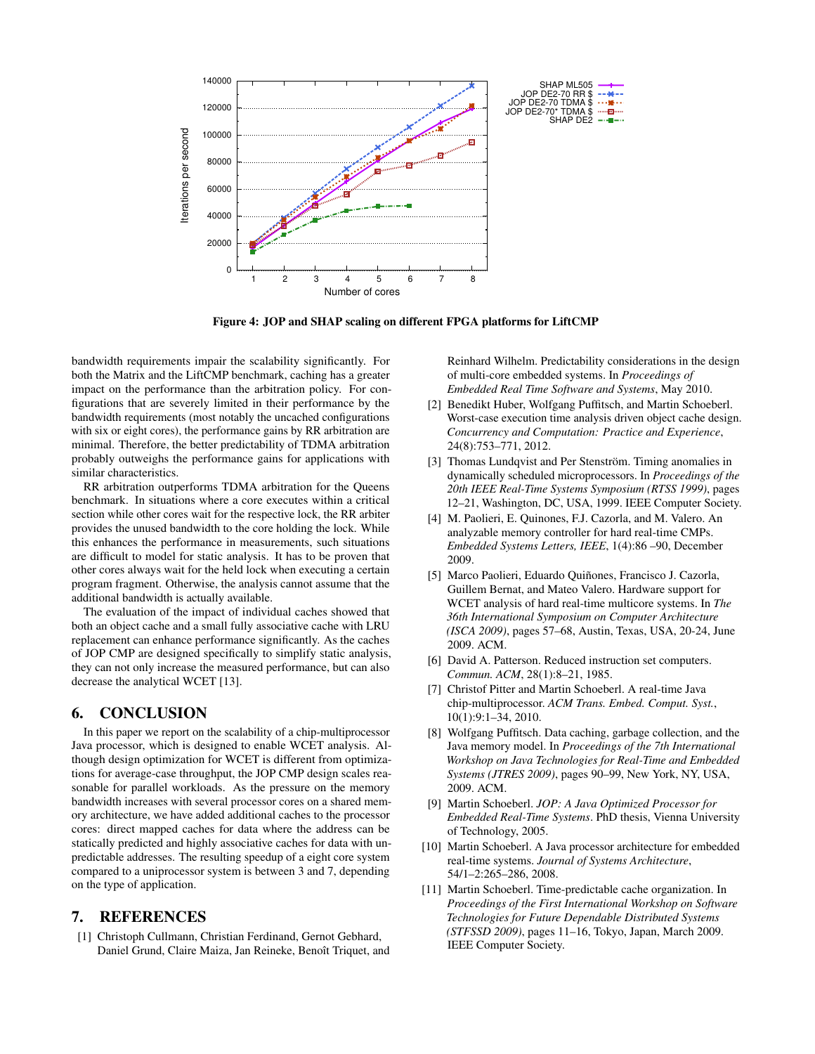

Figure 4: JOP and SHAP scaling on different FPGA platforms for LiftCMP

bandwidth requirements impair the scalability significantly. For both the Matrix and the LiftCMP benchmark, caching has a greater impact on the performance than the arbitration policy. For configurations that are severely limited in their performance by the bandwidth requirements (most notably the uncached configurations with six or eight cores), the performance gains by RR arbitration are minimal. Therefore, the better predictability of TDMA arbitration probably outweighs the performance gains for applications with similar characteristics.

RR arbitration outperforms TDMA arbitration for the Queens benchmark. In situations where a core executes within a critical section while other cores wait for the respective lock, the RR arbiter provides the unused bandwidth to the core holding the lock. While this enhances the performance in measurements, such situations are difficult to model for static analysis. It has to be proven that other cores always wait for the held lock when executing a certain program fragment. Otherwise, the analysis cannot assume that the additional bandwidth is actually available.

The evaluation of the impact of individual caches showed that both an object cache and a small fully associative cache with LRU replacement can enhance performance significantly. As the caches of JOP CMP are designed specifically to simplify static analysis, they can not only increase the measured performance, but can also decrease the analytical WCET [13].

## 6. CONCLUSION

In this paper we report on the scalability of a chip-multiprocessor Java processor, which is designed to enable WCET analysis. Although design optimization for WCET is different from optimizations for average-case throughput, the JOP CMP design scales reasonable for parallel workloads. As the pressure on the memory bandwidth increases with several processor cores on a shared memory architecture, we have added additional caches to the processor cores: direct mapped caches for data where the address can be statically predicted and highly associative caches for data with unpredictable addresses. The resulting speedup of a eight core system compared to a uniprocessor system is between 3 and 7, depending on the type of application.

## 7. REFERENCES

[1] Christoph Cullmann, Christian Ferdinand, Gernot Gebhard, Daniel Grund, Claire Maiza, Jan Reineke, Benoît Triquet, and Reinhard Wilhelm. Predictability considerations in the design of multi-core embedded systems. In *Proceedings of Embedded Real Time Software and Systems*, May 2010.

- [2] Benedikt Huber, Wolfgang Puffitsch, and Martin Schoeberl. Worst-case execution time analysis driven object cache design. *Concurrency and Computation: Practice and Experience*, 24(8):753–771, 2012.
- [3] Thomas Lundqvist and Per Stenström. Timing anomalies in dynamically scheduled microprocessors. In *Proceedings of the 20th IEEE Real-Time Systems Symposium (RTSS 1999)*, pages 12–21, Washington, DC, USA, 1999. IEEE Computer Society.
- [4] M. Paolieri, E. Quinones, F.J. Cazorla, and M. Valero. An analyzable memory controller for hard real-time CMPs. *Embedded Systems Letters, IEEE*, 1(4):86 –90, December 2009.
- [5] Marco Paolieri, Eduardo Quiñones, Francisco J. Cazorla, Guillem Bernat, and Mateo Valero. Hardware support for WCET analysis of hard real-time multicore systems. In *The 36th International Symposium on Computer Architecture (ISCA 2009)*, pages 57–68, Austin, Texas, USA, 20-24, June 2009. ACM.
- [6] David A. Patterson. Reduced instruction set computers. *Commun. ACM*, 28(1):8–21, 1985.
- [7] Christof Pitter and Martin Schoeberl. A real-time Java chip-multiprocessor. *ACM Trans. Embed. Comput. Syst.*, 10(1):9:1–34, 2010.
- [8] Wolfgang Puffitsch. Data caching, garbage collection, and the Java memory model. In *Proceedings of the 7th International Workshop on Java Technologies for Real-Time and Embedded Systems (JTRES 2009)*, pages 90–99, New York, NY, USA, 2009. ACM.
- [9] Martin Schoeberl. *JOP: A Java Optimized Processor for Embedded Real-Time Systems*. PhD thesis, Vienna University of Technology, 2005.
- [10] Martin Schoeberl. A Java processor architecture for embedded real-time systems. *Journal of Systems Architecture*, 54/1–2:265–286, 2008.
- [11] Martin Schoeberl. Time-predictable cache organization. In *Proceedings of the First International Workshop on Software Technologies for Future Dependable Distributed Systems (STFSSD 2009)*, pages 11–16, Tokyo, Japan, March 2009. IEEE Computer Society.